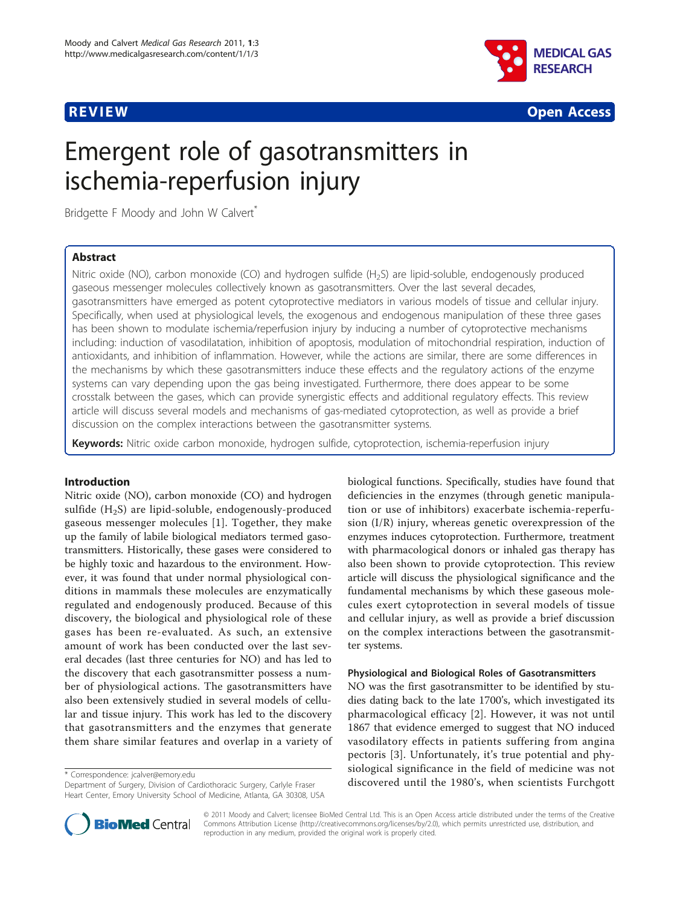

**REVIEW CONSTRUCTION CONSTRUCTION CONSTRUCTS** 

# Emergent role of gasotransmitters in ischemia-reperfusion injury

Bridgette F Moody and John W Calvert<sup>\*</sup>

# Abstract

Nitric oxide (NO), carbon monoxide (CO) and hydrogen sulfide (H<sub>2</sub>S) are lipid-soluble, endogenously produced gaseous messenger molecules collectively known as gasotransmitters. Over the last several decades, gasotransmitters have emerged as potent cytoprotective mediators in various models of tissue and cellular injury. Specifically, when used at physiological levels, the exogenous and endogenous manipulation of these three gases has been shown to modulate ischemia/reperfusion injury by inducing a number of cytoprotective mechanisms including: induction of vasodilatation, inhibition of apoptosis, modulation of mitochondrial respiration, induction of antioxidants, and inhibition of inflammation. However, while the actions are similar, there are some differences in the mechanisms by which these gasotransmitters induce these effects and the regulatory actions of the enzyme systems can vary depending upon the gas being investigated. Furthermore, there does appear to be some crosstalk between the gases, which can provide synergistic effects and additional regulatory effects. This review article will discuss several models and mechanisms of gas-mediated cytoprotection, as well as provide a brief discussion on the complex interactions between the gasotransmitter systems.

Keywords: Nitric oxide carbon monoxide, hydrogen sulfide, cytoprotection, ischemia-reperfusion injury

# Introduction

Nitric oxide (NO), carbon monoxide (CO) and hydrogen sulfide  $(H_2S)$  are lipid-soluble, endogenously-produced gaseous messenger molecules [[1\]](#page-6-0). Together, they make up the family of labile biological mediators termed gasotransmitters. Historically, these gases were considered to be highly toxic and hazardous to the environment. However, it was found that under normal physiological conditions in mammals these molecules are enzymatically regulated and endogenously produced. Because of this discovery, the biological and physiological role of these gases has been re-evaluated. As such, an extensive amount of work has been conducted over the last several decades (last three centuries for NO) and has led to the discovery that each gasotransmitter possess a number of physiological actions. The gasotransmitters have also been extensively studied in several models of cellular and tissue injury. This work has led to the discovery that gasotransmitters and the enzymes that generate them share similar features and overlap in a variety of

Department of Surgery, Division of Cardiothoracic Surgery, Carlyle Fraser Heart Center, Emory University School of Medicine, Atlanta, GA 30308, USA



# Physiological and Biological Roles of Gasotransmitters

NO was the first gasotransmitter to be identified by studies dating back to the late 1700's, which investigated its pharmacological efficacy [[2\]](#page-6-0). However, it was not until 1867 that evidence emerged to suggest that NO induced vasodilatory effects in patients suffering from angina pectoris [[3](#page-6-0)]. Unfortunately, it's true potential and physiological significance in the field of medicine was not discovered until the 1980's, when scientists Furchgott \* Correspondence: [jcalver@emory.edu](mailto:jcalver@emory.edu)



© 2011 Moody and Calvert; licensee BioMed Central Ltd. This is an Open Access article distributed under the terms of the Creative Commons Attribution License [\(http://creativecommons.org/licenses/by/2.0](http://creativecommons.org/licenses/by/2.0)), which permits unrestricted use, distribution, and reproduction in any medium, provided the original work is properly cited.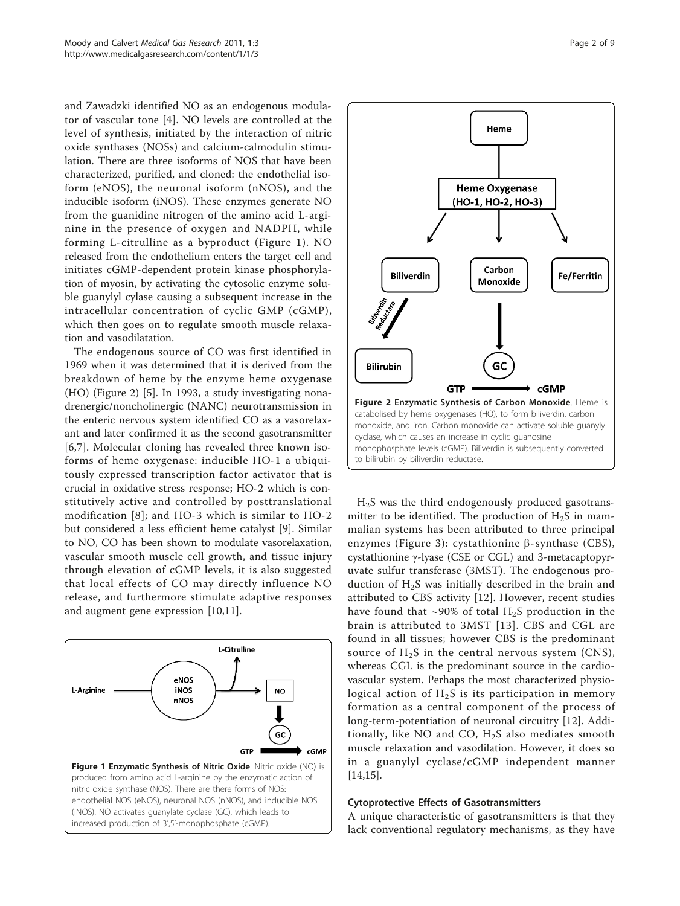and Zawadzki identified NO as an endogenous modulator of vascular tone [[4\]](#page-6-0). NO levels are controlled at the level of synthesis, initiated by the interaction of nitric oxide synthases (NOSs) and calcium-calmodulin stimulation. There are three isoforms of NOS that have been characterized, purified, and cloned: the endothelial isoform (eNOS), the neuronal isoform (nNOS), and the inducible isoform (iNOS). These enzymes generate NO from the guanidine nitrogen of the amino acid L-arginine in the presence of oxygen and NADPH, while forming L-citrulline as a byproduct (Figure 1). NO released from the endothelium enters the target cell and initiates cGMP-dependent protein kinase phosphorylation of myosin, by activating the cytosolic enzyme soluble guanylyl cylase causing a subsequent increase in the intracellular concentration of cyclic GMP (cGMP), which then goes on to regulate smooth muscle relaxation and vasodilatation.

The endogenous source of CO was first identified in 1969 when it was determined that it is derived from the breakdown of heme by the enzyme heme oxygenase (HO) (Figure 2) [\[5](#page-6-0)]. In 1993, a study investigating nonadrenergic/noncholinergic (NANC) neurotransmission in the enteric nervous system identified CO as a vasorelaxant and later confirmed it as the second gasotransmitter [[6,7](#page-6-0)]. Molecular cloning has revealed three known isoforms of heme oxygenase: inducible HO-1 a ubiquitously expressed transcription factor activator that is crucial in oxidative stress response; HO-2 which is constitutively active and controlled by posttranslational modification [\[8\]](#page-6-0); and HO-3 which is similar to HO-2 but considered a less efficient heme catalyst [[9\]](#page-6-0). Similar to NO, CO has been shown to modulate vasorelaxation, vascular smooth muscle cell growth, and tissue injury through elevation of cGMP levels, it is also suggested that local effects of CO may directly influence NO release, and furthermore stimulate adaptive responses and augment gene expression [[10,11\]](#page-6-0).





 $H<sub>2</sub>S$  was the third endogenously produced gasotransmitter to be identified. The production of  $H_2S$  in mammalian systems has been attributed to three principal enzymes (Figure [3\)](#page-2-0): cystathionine  $\beta$ -synthase (CBS), cystathionine  $\gamma$ -lyase (CSE or CGL) and 3-metacaptopyruvate sulfur transferase (3MST). The endogenous production of H2S was initially described in the brain and attributed to CBS activity [[12\]](#page-6-0). However, recent studies have found that ~90% of total  $H_2S$  production in the brain is attributed to 3MST [[13\]](#page-6-0). CBS and CGL are found in all tissues; however CBS is the predominant source of  $H_2S$  in the central nervous system (CNS), whereas CGL is the predominant source in the cardiovascular system. Perhaps the most characterized physiological action of  $H_2S$  is its participation in memory formation as a central component of the process of long-term-potentiation of neuronal circuitry [\[12](#page-6-0)]. Additionally, like NO and CO,  $H_2S$  also mediates smooth muscle relaxation and vasodilation. However, it does so in a guanylyl cyclase/cGMP independent manner [[14,15\]](#page-6-0).

# Cytoprotective Effects of Gasotransmitters

A unique characteristic of gasotransmitters is that they lack conventional regulatory mechanisms, as they have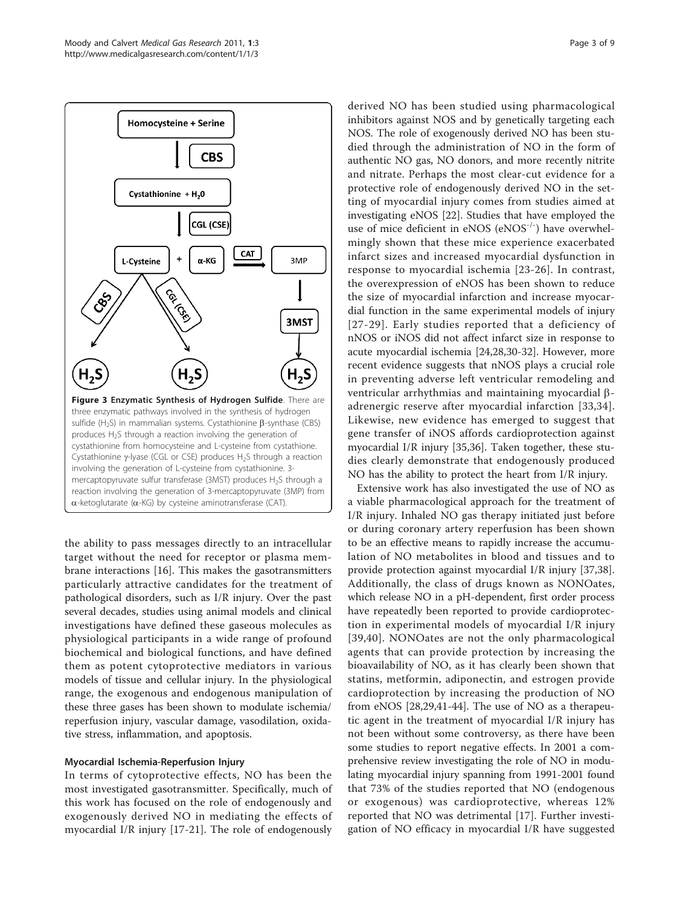<span id="page-2-0"></span>

mercaptopyruvate sulfur transferase (3MST) produces H<sub>2</sub>S through a reaction involving the generation of 3-mercaptopyruvate (3MP) from  $\alpha$ -ketoglutarate ( $\alpha$ -KG) by cysteine aminotransferase (CAT).

the ability to pass messages directly to an intracellular target without the need for receptor or plasma membrane interactions [[16\]](#page-6-0). This makes the gasotransmitters particularly attractive candidates for the treatment of pathological disorders, such as I/R injury. Over the past several decades, studies using animal models and clinical investigations have defined these gaseous molecules as physiological participants in a wide range of profound biochemical and biological functions, and have defined them as potent cytoprotective mediators in various models of tissue and cellular injury. In the physiological range, the exogenous and endogenous manipulation of these three gases has been shown to modulate ischemia/ reperfusion injury, vascular damage, vasodilation, oxidative stress, inflammation, and apoptosis.

#### Myocardial Ischemia-Reperfusion Injury

In terms of cytoprotective effects, NO has been the most investigated gasotransmitter. Specifically, much of this work has focused on the role of endogenously and exogenously derived NO in mediating the effects of myocardial I/R injury [\[17-21](#page-6-0)]. The role of endogenously derived NO has been studied using pharmacological inhibitors against NOS and by genetically targeting each NOS. The role of exogenously derived NO has been studied through the administration of NO in the form of authentic NO gas, NO donors, and more recently nitrite and nitrate. Perhaps the most clear-cut evidence for a protective role of endogenously derived NO in the setting of myocardial injury comes from studies aimed at investigating eNOS [\[22](#page-6-0)]. Studies that have employed the use of mice deficient in eNOS ( $eNOS^{-/-}$ ) have overwhelmingly shown that these mice experience exacerbated infarct sizes and increased myocardial dysfunction in response to myocardial ischemia [\[23-26\]](#page-6-0). In contrast, the overexpression of eNOS has been shown to reduce the size of myocardial infarction and increase myocardial function in the same experimental models of injury [[27](#page-6-0)-[29\]](#page-6-0). Early studies reported that a deficiency of nNOS or iNOS did not affect infarct size in response to acute myocardial ischemia [[24,28](#page-6-0),[30](#page-6-0)-[32\]](#page-6-0). However, more recent evidence suggests that nNOS plays a crucial role in preventing adverse left ventricular remodeling and ventricular arrhythmias and maintaining myocardial  $\beta$ adrenergic reserve after myocardial infarction [[33](#page-6-0),[34](#page-6-0)]. Likewise, new evidence has emerged to suggest that gene transfer of iNOS affords cardioprotection against myocardial I/R injury [\[35,36](#page-6-0)]. Taken together, these studies clearly demonstrate that endogenously produced NO has the ability to protect the heart from I/R injury.

Extensive work has also investigated the use of NO as a viable pharmacological approach for the treatment of I/R injury. Inhaled NO gas therapy initiated just before or during coronary artery reperfusion has been shown to be an effective means to rapidly increase the accumulation of NO metabolites in blood and tissues and to provide protection against myocardial I/R injury [\[37,38](#page-6-0)]. Additionally, the class of drugs known as NONOates, which release NO in a pH-dependent, first order process have repeatedly been reported to provide cardioprotection in experimental models of myocardial I/R injury [[39,40](#page-6-0)]. NONOates are not the only pharmacological agents that can provide protection by increasing the bioavailability of NO, as it has clearly been shown that statins, metformin, adiponectin, and estrogen provide cardioprotection by increasing the production of NO from eNOS [[28](#page-6-0),[29](#page-6-0),[41](#page-6-0)-[44\]](#page-7-0). The use of NO as a therapeutic agent in the treatment of myocardial I/R injury has not been without some controversy, as there have been some studies to report negative effects. In 2001 a comprehensive review investigating the role of NO in modulating myocardial injury spanning from 1991-2001 found that 73% of the studies reported that NO (endogenous or exogenous) was cardioprotective, whereas 12% reported that NO was detrimental [[17\]](#page-6-0). Further investigation of NO efficacy in myocardial I/R have suggested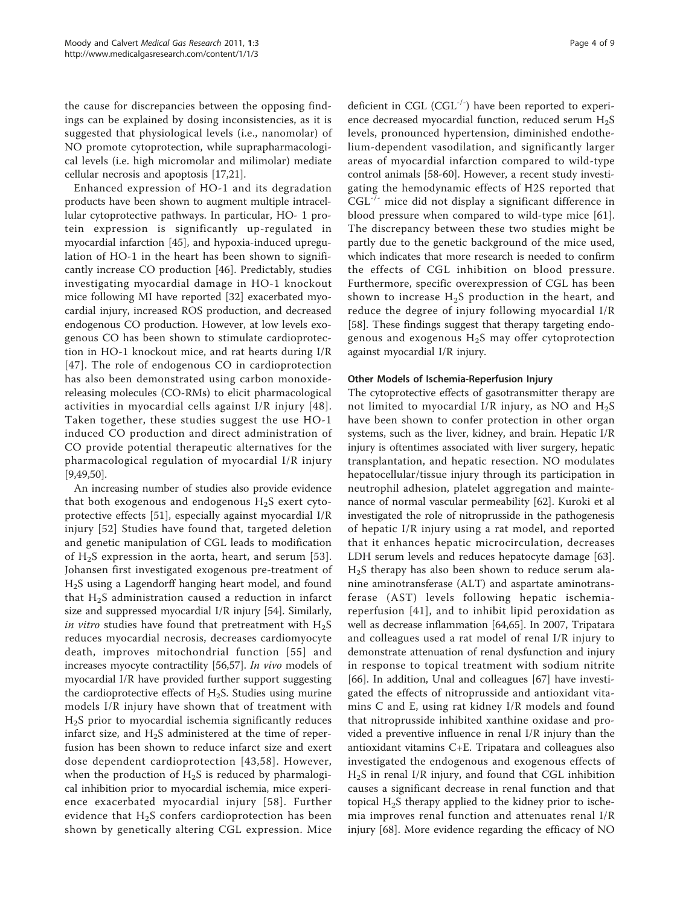the cause for discrepancies between the opposing findings can be explained by dosing inconsistencies, as it is suggested that physiological levels (i.e., nanomolar) of NO promote cytoprotection, while suprapharmacological levels (i.e. high micromolar and milimolar) mediate cellular necrosis and apoptosis [[17,21](#page-6-0)].

Enhanced expression of HO-1 and its degradation products have been shown to augment multiple intracellular cytoprotective pathways. In particular, HO- 1 protein expression is significantly up-regulated in myocardial infarction [[45](#page-7-0)], and hypoxia-induced upregulation of HO-1 in the heart has been shown to significantly increase CO production [[46\]](#page-7-0). Predictably, studies investigating myocardial damage in HO-1 knockout mice following MI have reported [[32\]](#page-6-0) exacerbated myocardial injury, increased ROS production, and decreased endogenous CO production. However, at low levels exogenous CO has been shown to stimulate cardioprotection in HO-1 knockout mice, and rat hearts during I/R [[47\]](#page-7-0). The role of endogenous CO in cardioprotection has also been demonstrated using carbon monoxidereleasing molecules (CO-RMs) to elicit pharmacological activities in myocardial cells against I/R injury [[48\]](#page-7-0). Taken together, these studies suggest the use HO-1 induced CO production and direct administration of CO provide potential therapeutic alternatives for the pharmacological regulation of myocardial I/R injury [[9,](#page-6-0)[49,50](#page-7-0)].

An increasing number of studies also provide evidence that both exogenous and endogenous  $H_2S$  exert cytoprotective effects [[51](#page-7-0)], especially against myocardial I/R injury [[52\]](#page-7-0) Studies have found that, targeted deletion and genetic manipulation of CGL leads to modification of  $H_2S$  expression in the aorta, heart, and serum [[53](#page-7-0)]. Johansen first investigated exogenous pre-treatment of H2S using a Lagendorff hanging heart model, and found that  $H_2S$  administration caused a reduction in infarct size and suppressed myocardial I/R injury [\[54](#page-7-0)]. Similarly, *in vitro* studies have found that pretreatment with  $H_2S$ reduces myocardial necrosis, decreases cardiomyocyte death, improves mitochondrial function [[55](#page-7-0)] and increases myocyte contractility [[56,57\]](#page-7-0). In vivo models of myocardial I/R have provided further support suggesting the cardioprotective effects of  $H_2S$ . Studies using murine models I/R injury have shown that of treatment with  $H<sub>2</sub>S$  prior to myocardial ischemia significantly reduces infarct size, and  $H_2S$  administered at the time of reperfusion has been shown to reduce infarct size and exert dose dependent cardioprotection [[43](#page-7-0),[58\]](#page-7-0). However, when the production of  $H_2S$  is reduced by pharmalogical inhibition prior to myocardial ischemia, mice experience exacerbated myocardial injury [[58\]](#page-7-0). Further evidence that  $H_2S$  confers cardioprotection has been shown by genetically altering CGL expression. Mice deficient in CGL  $(CGL^{-/-})$  have been reported to experience decreased myocardial function, reduced serum  $H_2S$ levels, pronounced hypertension, diminished endothelium-dependent vasodilation, and significantly larger areas of myocardial infarction compared to wild-type control animals [[58](#page-7-0)-[60\]](#page-7-0). However, a recent study investigating the hemodynamic effects of H2S reported that  $CGL^{-1}$  mice did not display a significant difference in blood pressure when compared to wild-type mice [[61](#page-7-0)]. The discrepancy between these two studies might be partly due to the genetic background of the mice used, which indicates that more research is needed to confirm the effects of CGL inhibition on blood pressure. Furthermore, specific overexpression of CGL has been shown to increase  $H_2S$  production in the heart, and reduce the degree of injury following myocardial I/R [[58\]](#page-7-0). These findings suggest that therapy targeting endogenous and exogenous  $H_2S$  may offer cytoprotection against myocardial I/R injury.

## Other Models of Ischemia-Reperfusion Injury

The cytoprotective effects of gasotransmitter therapy are not limited to myocardial I/R injury, as NO and  $H_2S$ have been shown to confer protection in other organ systems, such as the liver, kidney, and brain. Hepatic I/R injury is oftentimes associated with liver surgery, hepatic transplantation, and hepatic resection. NO modulates hepatocellular/tissue injury through its participation in neutrophil adhesion, platelet aggregation and maintenance of normal vascular permeability [\[62](#page-7-0)]. Kuroki et al investigated the role of nitroprusside in the pathogenesis of hepatic I/R injury using a rat model, and reported that it enhances hepatic microcirculation, decreases LDH serum levels and reduces hepatocyte damage [\[63](#page-7-0)]. H2S therapy has also been shown to reduce serum alanine aminotransferase (ALT) and aspartate aminotransferase (AST) levels following hepatic ischemiareperfusion [[41\]](#page-6-0), and to inhibit lipid peroxidation as well as decrease inflammation [[64,65\]](#page-7-0). In 2007, Tripatara and colleagues used a rat model of renal I/R injury to demonstrate attenuation of renal dysfunction and injury in response to topical treatment with sodium nitrite [[66\]](#page-7-0). In addition, Unal and colleagues [\[67](#page-7-0)] have investigated the effects of nitroprusside and antioxidant vitamins C and E, using rat kidney I/R models and found that nitroprusside inhibited xanthine oxidase and provided a preventive influence in renal I/R injury than the antioxidant vitamins C+E. Tripatara and colleagues also investigated the endogenous and exogenous effects of  $H<sub>2</sub>S$  in renal I/R injury, and found that CGL inhibition causes a significant decrease in renal function and that topical  $H_2S$  therapy applied to the kidney prior to ischemia improves renal function and attenuates renal I/R injury [\[68](#page-7-0)]. More evidence regarding the efficacy of NO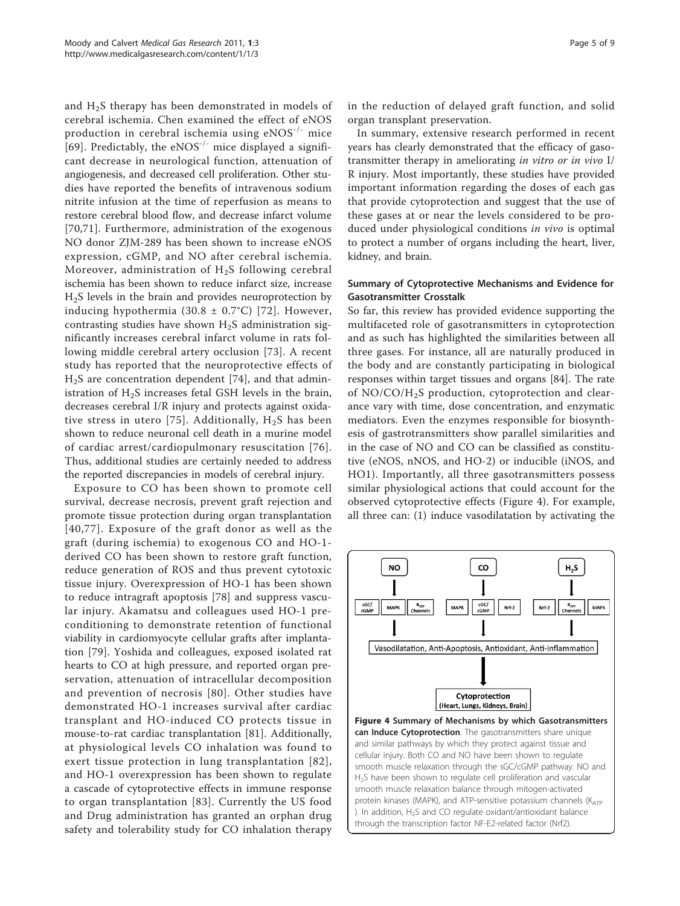and  $H<sub>2</sub>S$  therapy has been demonstrated in models of cerebral ischemia. Chen examined the effect of eNOS production in cerebral ischemia using  $eNOS^{-/-}$  mice [[69](#page-7-0)]. Predictably, the  $eNOS^{-1}$  mice displayed a significant decrease in neurological function, attenuation of angiogenesis, and decreased cell proliferation. Other studies have reported the benefits of intravenous sodium nitrite infusion at the time of reperfusion as means to restore cerebral blood flow, and decrease infarct volume [[70](#page-7-0),[71\]](#page-7-0). Furthermore, administration of the exogenous NO donor ZJM-289 has been shown to increase eNOS expression, cGMP, and NO after cerebral ischemia. Moreover, administration of H2S following cerebral ischemia has been shown to reduce infarct size, increase  $H<sub>2</sub>S$  levels in the brain and provides neuroprotection by inducing hypothermia  $(30.8 \pm 0.7^{\circ}C)$  [[72](#page-7-0)]. However, contrasting studies have shown  $H_2S$  administration significantly increases cerebral infarct volume in rats following middle cerebral artery occlusion [[73](#page-7-0)]. A recent study has reported that the neuroprotective effects of  $H<sub>2</sub>S$  are concentration dependent [[74\]](#page-7-0), and that administration of  $H_2S$  increases fetal GSH levels in the brain, decreases cerebral I/R injury and protects against oxida-tive stress in utero [[75](#page-7-0)]. Additionally,  $H_2S$  has been shown to reduce neuronal cell death in a murine model of cardiac arrest/cardiopulmonary resuscitation [\[76\]](#page-7-0). Thus, additional studies are certainly needed to address the reported discrepancies in models of cerebral injury.

Exposure to CO has been shown to promote cell survival, decrease necrosis, prevent graft rejection and promote tissue protection during organ transplantation [[40](#page-6-0),[77\]](#page-7-0). Exposure of the graft donor as well as the graft (during ischemia) to exogenous CO and HO-1 derived CO has been shown to restore graft function, reduce generation of ROS and thus prevent cytotoxic tissue injury. Overexpression of HO-1 has been shown to reduce intragraft apoptosis [[78\]](#page-7-0) and suppress vascular injury. Akamatsu and colleagues used HO-1 preconditioning to demonstrate retention of functional viability in cardiomyocyte cellular grafts after implantation [[79\]](#page-7-0). Yoshida and colleagues, exposed isolated rat hearts to CO at high pressure, and reported organ preservation, attenuation of intracellular decomposition and prevention of necrosis [[80\]](#page-7-0). Other studies have demonstrated HO-1 increases survival after cardiac transplant and HO-induced CO protects tissue in mouse-to-rat cardiac transplantation [[81](#page-7-0)]. Additionally, at physiological levels CO inhalation was found to exert tissue protection in lung transplantation [[82\]](#page-7-0), and HO-1 overexpression has been shown to regulate a cascade of cytoprotective effects in immune response to organ transplantation [[83\]](#page-7-0). Currently the US food and Drug administration has granted an orphan drug safety and tolerability study for CO inhalation therapy in the reduction of delayed graft function, and solid organ transplant preservation.

In summary, extensive research performed in recent years has clearly demonstrated that the efficacy of gasotransmitter therapy in ameliorating in vitro or in vivo I/ R injury. Most importantly, these studies have provided important information regarding the doses of each gas that provide cytoprotection and suggest that the use of these gases at or near the levels considered to be produced under physiological conditions in vivo is optimal to protect a number of organs including the heart, liver, kidney, and brain.

# Summary of Cytoprotective Mechanisms and Evidence for Gasotransmitter Crosstalk

So far, this review has provided evidence supporting the multifaceted role of gasotransmitters in cytoprotection and as such has highlighted the similarities between all three gases. For instance, all are naturally produced in the body and are constantly participating in biological responses within target tissues and organs [\[84\]](#page-7-0). The rate of  $NO/CO/H<sub>2</sub>S$  production, cytoprotection and clearance vary with time, dose concentration, and enzymatic mediators. Even the enzymes responsible for biosynthesis of gastrotransmitters show parallel similarities and in the case of NO and CO can be classified as constitutive (eNOS, nNOS, and HO-2) or inducible (iNOS, and HO1). Importantly, all three gasotransmitters possess similar physiological actions that could account for the observed cytoprotective effects (Figure 4). For example, all three can: (1) induce vasodilatation by activating the

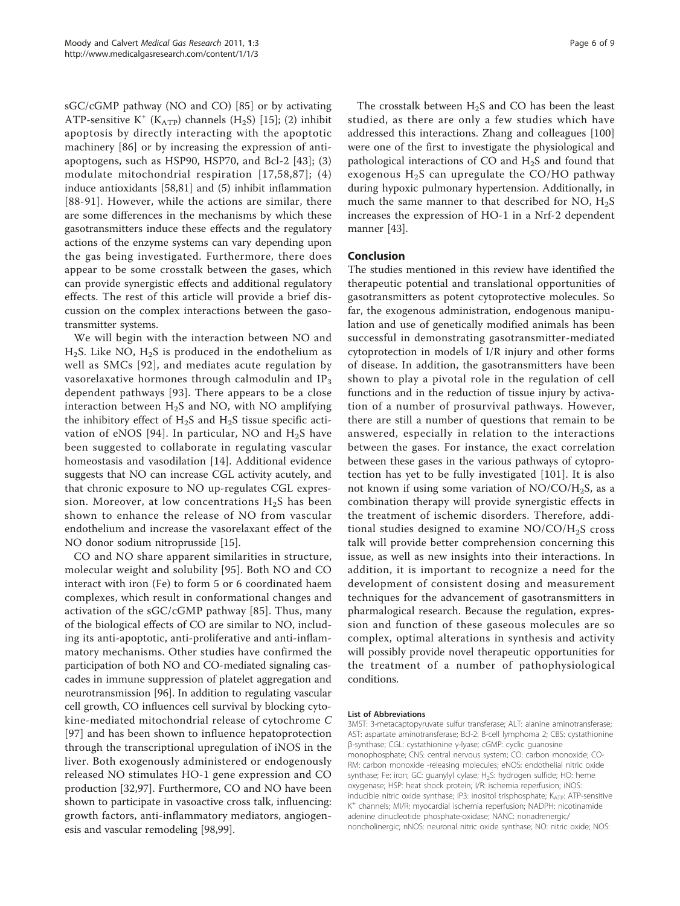sGC/cGMP pathway (NO and CO) [\[85](#page-8-0)] or by activating ATP-sensitive K<sup>+</sup> (K<sub>ATP</sub>) channels (H<sub>2</sub>S) [[15](#page-6-0)]; (2) inhibit apoptosis by directly interacting with the apoptotic machinery [[86](#page-8-0)] or by increasing the expression of antiapoptogens, such as HSP90, HSP70, and Bcl-2 [[43](#page-7-0)]; (3) modulate mitochondrial respiration [[17,](#page-6-0)[58,](#page-7-0)[87](#page-8-0)]; (4) induce antioxidants [\[58,81\]](#page-7-0) and (5) inhibit inflammation [[88](#page-8-0)-[91\]](#page-8-0). However, while the actions are similar, there are some differences in the mechanisms by which these gasotransmitters induce these effects and the regulatory actions of the enzyme systems can vary depending upon the gas being investigated. Furthermore, there does appear to be some crosstalk between the gases, which can provide synergistic effects and additional regulatory effects. The rest of this article will provide a brief discussion on the complex interactions between the gasotransmitter systems.

We will begin with the interaction between NO and  $H<sub>2</sub>S$ . Like NO,  $H<sub>2</sub>S$  is produced in the endothelium as well as SMCs [\[92\]](#page-8-0), and mediates acute regulation by vasorelaxative hormones through calmodulin and IP<sub>3</sub> dependent pathways [[93](#page-8-0)]. There appears to be a close interaction between  $H_2S$  and NO, with NO amplifying the inhibitory effect of  $H_2S$  and  $H_2S$  tissue specific acti-vation of eNOS [[94\]](#page-8-0). In particular, NO and  $H_2S$  have been suggested to collaborate in regulating vascular homeostasis and vasodilation [\[14](#page-6-0)]. Additional evidence suggests that NO can increase CGL activity acutely, and that chronic exposure to NO up-regulates CGL expression. Moreover, at low concentrations  $H_2S$  has been shown to enhance the release of NO from vascular endothelium and increase the vasorelaxant effect of the NO donor sodium nitroprusside [[15\]](#page-6-0).

CO and NO share apparent similarities in structure, molecular weight and solubility [[95](#page-8-0)]. Both NO and CO interact with iron (Fe) to form 5 or 6 coordinated haem complexes, which result in conformational changes and activation of the sGC/cGMP pathway [[85](#page-8-0)]. Thus, many of the biological effects of CO are similar to NO, including its anti-apoptotic, anti-proliferative and anti-inflammatory mechanisms. Other studies have confirmed the participation of both NO and CO-mediated signaling cascades in immune suppression of platelet aggregation and neurotransmission [[96\]](#page-8-0). In addition to regulating vascular cell growth, CO influences cell survival by blocking cytokine-mediated mitochondrial release of cytochrome C [[97](#page-8-0)] and has been shown to influence hepatoprotection through the transcriptional upregulation of iNOS in the liver. Both exogenously administered or endogenously released NO stimulates HO-1 gene expression and CO production [\[32](#page-6-0),[97](#page-8-0)]. Furthermore, CO and NO have been shown to participate in vasoactive cross talk, influencing: growth factors, anti-inflammatory mediators, angiogenesis and vascular remodeling [[98,99\]](#page-8-0).

The crosstalk between  $H_2S$  and CO has been the least studied, as there are only a few studies which have addressed this interactions. Zhang and colleagues [\[100](#page-8-0)] were one of the first to investigate the physiological and pathological interactions of CO and H2S and found that exogenous  $H_2S$  can upregulate the CO/HO pathway during hypoxic pulmonary hypertension. Additionally, in much the same manner to that described for NO,  $H_2S$ increases the expression of HO-1 in a Nrf-2 dependent manner [\[43](#page-7-0)].

# Conclusion

The studies mentioned in this review have identified the therapeutic potential and translational opportunities of gasotransmitters as potent cytoprotective molecules. So far, the exogenous administration, endogenous manipulation and use of genetically modified animals has been successful in demonstrating gasotransmitter-mediated cytoprotection in models of I/R injury and other forms of disease. In addition, the gasotransmitters have been shown to play a pivotal role in the regulation of cell functions and in the reduction of tissue injury by activation of a number of prosurvival pathways. However, there are still a number of questions that remain to be answered, especially in relation to the interactions between the gases. For instance, the exact correlation between these gases in the various pathways of cytoprotection has yet to be fully investigated [[101](#page-8-0)]. It is also not known if using some variation of  $NO/CO/H<sub>2</sub>S$ , as a combination therapy will provide synergistic effects in the treatment of ischemic disorders. Therefore, additional studies designed to examine  $NO/CO/H<sub>2</sub>S$  cross talk will provide better comprehension concerning this issue, as well as new insights into their interactions. In addition, it is important to recognize a need for the development of consistent dosing and measurement techniques for the advancement of gasotransmitters in pharmalogical research. Because the regulation, expression and function of these gaseous molecules are so complex, optimal alterations in synthesis and activity will possibly provide novel therapeutic opportunities for the treatment of a number of pathophysiological conditions.

#### List of Abbreviations

3MST: 3-metacaptopyruvate sulfur transferase; ALT: alanine aminotransferase; AST: aspartate aminotransferase; Bcl-2: B-cell lymphoma 2; CBS: cystathionine β-synthase; CGL: cystathionine γ-lyase; cGMP: cyclic guanosine monophosphate; CNS: central nervous system; CO: carbon monoxide; CO-RM: carbon monoxide -releasing molecules; eNOS: endothelial nitric oxide synthase; Fe: iron; GC: guanylyl cylase; H<sub>2</sub>S: hydrogen sulfide; HO: heme oxygenase; HSP: heat shock protein; I/R: ischemia reperfusion; iNOS: inducible nitric oxide synthase; IP3: inositol trisphosphate; KATP: ATP-sensitive K<sup>+</sup> channels; MI/R: myocardial ischemia reperfusion; NADPH: nicotinamide adenine dinucleotide phosphate-oxidase; NANC: nonadrenergic/ noncholinergic; nNOS: neuronal nitric oxide synthase; NO: nitric oxide; NOS: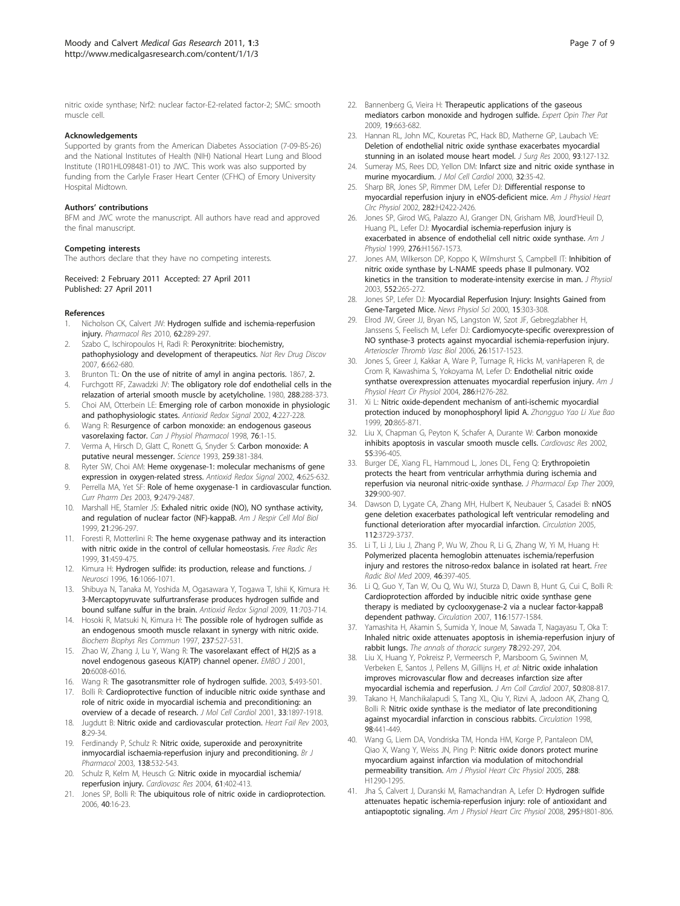<span id="page-6-0"></span>nitric oxide synthase; Nrf2: nuclear factor-E2-related factor-2; SMC: smooth muscle cell.

#### Acknowledgements

Supported by grants from the American Diabetes Association (7-09-BS-26) and the National Institutes of Health (NIH) National Heart Lung and Blood Institute (1R01HL098481-01) to JWC. This work was also supported by funding from the Carlyle Fraser Heart Center (CFHC) of Emory University Hospital Midtown.

#### Authors' contributions

BFM and JWC wrote the manuscript. All authors have read and approved the final manuscript.

#### Competing interests

The authors declare that they have no competing interests.

#### Received: 2 February 2011 Accepted: 27 April 2011 Published: 27 April 2011

#### **References**

- 1. Nicholson CK, Calvert JW: [Hydrogen sulfide and ischemia-reperfusion](http://www.ncbi.nlm.nih.gov/pubmed/20542117?dopt=Abstract) [injury.](http://www.ncbi.nlm.nih.gov/pubmed/20542117?dopt=Abstract) Pharmacol Res 2010, 62:289-297.
- Szabo C, Ischiropoulos H, Radi R: [Peroxynitrite: biochemistry,](http://www.ncbi.nlm.nih.gov/pubmed/17667957?dopt=Abstract) [pathophysiology and development of therapeutics.](http://www.ncbi.nlm.nih.gov/pubmed/17667957?dopt=Abstract) Nat Rev Drug Discov 2007, 6:662-680.
- 3. Brunton TL: On the use of nitrite of amyl in angina pectoris. 1867, 2.
- 4. Furchgott RF, Zawadzki JV: The obligatory role dof endothelial cells in the relazation of arterial smooth muscle by acetylcholine. 1980, 288:288-373. 5. Choi AM, Otterbein LE: [Emerging role of carbon monoxide in physiologic](http://www.ncbi.nlm.nih.gov/pubmed/12006173?dopt=Abstract)
- [and pathophysiologic states.](http://www.ncbi.nlm.nih.gov/pubmed/12006173?dopt=Abstract) Antioxid Redox Signal 2002, 4:227-228.
- 6. Wang R: [Resurgence of carbon monoxide: an endogenous gaseous](http://www.ncbi.nlm.nih.gov/pubmed/9564544?dopt=Abstract) [vasorelaxing factor.](http://www.ncbi.nlm.nih.gov/pubmed/9564544?dopt=Abstract) Can J Physiol Pharmacol 1998, 76:1-15.
- 7. Verma A, Hirsch D, Glatt C, Ronett G, Snyder S: [Carbon monoxide: A](http://www.ncbi.nlm.nih.gov/pubmed/7678352?dopt=Abstract) [putative neural messenger.](http://www.ncbi.nlm.nih.gov/pubmed/7678352?dopt=Abstract) Science 1993, 259:381-384.
- 8. Ryter SW, Choi AM: [Heme oxygenase-1: molecular mechanisms of gene](http://www.ncbi.nlm.nih.gov/pubmed/12230874?dopt=Abstract) [expression in oxygen-related stress.](http://www.ncbi.nlm.nih.gov/pubmed/12230874?dopt=Abstract) Antioxid Redox Signal 2002, 4:625-632.
- 9. Perrella MA, Yet SF: [Role of heme oxygenase-1 in cardiovascular function.](http://www.ncbi.nlm.nih.gov/pubmed/14529547?dopt=Abstract) Curr Pharm Des 2003, 9:2479-2487.
- 10. Marshall HE, Stamler JS: [Exhaled nitric oxide \(NO\), NO synthase activity,](http://www.ncbi.nlm.nih.gov/pubmed/10460745?dopt=Abstract) [and regulation of nuclear factor \(NF\)-kappaB.](http://www.ncbi.nlm.nih.gov/pubmed/10460745?dopt=Abstract) Am J Respir Cell Mol Biol 1999, 21:296-297.
- 11. Foresti R, Motterlini R: [The heme oxygenase pathway and its interaction](http://www.ncbi.nlm.nih.gov/pubmed/10630670?dopt=Abstract) [with nitric oxide in the control of cellular homeostasis.](http://www.ncbi.nlm.nih.gov/pubmed/10630670?dopt=Abstract) Free Radic Res 1999, 31:459-475.
- 12. Kimura H: [Hydrogen sulfide: its production, release and functions.](http://www.ncbi.nlm.nih.gov/pubmed/8558235?dopt=Abstract) J Neurosci 1996, 16:1066-1071.
- 13. Shibuya N, Tanaka M, Yoshida M, Ogasawara Y, Togawa T, Ishii K, Kimura H: [3-Mercaptopyruvate sulfurtransferase produces hydrogen sulfide and](http://www.ncbi.nlm.nih.gov/pubmed/18855522?dopt=Abstract) [bound sulfane sulfur in the brain.](http://www.ncbi.nlm.nih.gov/pubmed/18855522?dopt=Abstract) Antioxid Redox Signal 2009, 11:703-714.
- 14. Hosoki R, Matsuki N, Kimura H: [The possible role of hydrogen sulfide as](http://www.ncbi.nlm.nih.gov/pubmed/9299397?dopt=Abstract) [an endogenous smooth muscle relaxant in synergy with nitric oxide.](http://www.ncbi.nlm.nih.gov/pubmed/9299397?dopt=Abstract) Biochem Biophys Res Commun 1997, 237:527-531.
- 15. Zhao W, Zhang J, Lu Y, Wang R: [The vasorelaxant effect of H\(2\)S as a](http://www.ncbi.nlm.nih.gov/pubmed/11689441?dopt=Abstract) [novel endogenous gaseous K\(ATP\) channel opener.](http://www.ncbi.nlm.nih.gov/pubmed/11689441?dopt=Abstract) EMBO J 2001, 20:6008-6016.
- 16. Wang R: The gasotransmitter role of hydrogen sulfide. 2003, 5:493-501.
- 17. Bolli R: [Cardioprotective function of inducible nitric oxide synthase and](http://www.ncbi.nlm.nih.gov/pubmed/11708836?dopt=Abstract) [role of nitric oxide in myocardial ischemia and preconditioning: an](http://www.ncbi.nlm.nih.gov/pubmed/11708836?dopt=Abstract) [overview of a decade of research.](http://www.ncbi.nlm.nih.gov/pubmed/11708836?dopt=Abstract) J Mol Cell Cardiol 2001, 33:1897-1918.
- 18. Jugdutt B: [Nitric oxide and cardiovascular protection.](http://www.ncbi.nlm.nih.gov/pubmed/12652157?dopt=Abstract) Heart Fail Rev 2003, 8:29-34.
- 19. Ferdinandy P, Schulz R: [Nitric oxide, superoxide and peroxynitrite](http://www.ncbi.nlm.nih.gov/pubmed/12598407?dopt=Abstract) [inmyocardial ischaemia-reperfusion injury and preconditioning.](http://www.ncbi.nlm.nih.gov/pubmed/12598407?dopt=Abstract) Br J Pharmacol 2003, 138:532-543.
- 20. Schulz R, Kelm M, Heusch G: [Nitric oxide in myocardial ischemia/](http://www.ncbi.nlm.nih.gov/pubmed/14962472?dopt=Abstract) [reperfusion injury.](http://www.ncbi.nlm.nih.gov/pubmed/14962472?dopt=Abstract) Cardiovasc Res 2004, 61:402-413.
- 21. Jones SP, Bolli R: The ubiquitous role of nitric oxide in cardioprotection. 2006, 40:16-23.
- 22. Bannenberg G, Vieira H: [Therapeutic applications of the gaseous](http://www.ncbi.nlm.nih.gov/pubmed/19441940?dopt=Abstract) [mediators carbon monoxide and hydrogen sulfide.](http://www.ncbi.nlm.nih.gov/pubmed/19441940?dopt=Abstract) Expert Opin Ther Pat 2009, 19:663-682.
- 23. Hannan RL, John MC, Kouretas PC, Hack BD, Matherne GP, Laubach VE: [Deletion of endothelial nitric oxide synthase exacerbates myocardial](http://www.ncbi.nlm.nih.gov/pubmed/10945953?dopt=Abstract) [stunning in an isolated mouse heart model.](http://www.ncbi.nlm.nih.gov/pubmed/10945953?dopt=Abstract) J Surg Res 2000, 93:127-132.
- 24. Sumeray MS, Rees DD, Yellon DM: [Infarct size and nitric oxide synthase in](http://www.ncbi.nlm.nih.gov/pubmed/10652188?dopt=Abstract) [murine myocardium.](http://www.ncbi.nlm.nih.gov/pubmed/10652188?dopt=Abstract) J Mol Cell Cardiol 2000, 32:35-42.
- 25. Sharp BR, Jones SP, Rimmer DM, Lefer DJ: [Differential response to](http://www.ncbi.nlm.nih.gov/pubmed/12003854?dopt=Abstract) [myocardial reperfusion injury in eNOS-deficient mice.](http://www.ncbi.nlm.nih.gov/pubmed/12003854?dopt=Abstract) Am J Physiol Heart CIrc Physiol 2002, 282:H2422-2426.
- 26. Jones SP, Girod WG, Palazzo AJ, Granger DN, Grisham MB, Jourd'Heuil D, Huang PL, Lefer DJ: [Myocardial ischemia-reperfusion injury is](http://www.ncbi.nlm.nih.gov/pubmed/10330240?dopt=Abstract) [exacerbated in absence of endothelial cell nitric oxide synthase.](http://www.ncbi.nlm.nih.gov/pubmed/10330240?dopt=Abstract) Am J Physiol 1999, 276:H1567-1573.
- 27. Jones AM, Wilkerson DP, Koppo K, Wilmshurst S, Campbell IT: [Inhibition of](http://www.ncbi.nlm.nih.gov/pubmed/12897178?dopt=Abstract) [nitric oxide synthase by L-NAME speeds phase II pulmonary. VO2](http://www.ncbi.nlm.nih.gov/pubmed/12897178?dopt=Abstract) [kinetics in the transition to moderate-intensity exercise in man.](http://www.ncbi.nlm.nih.gov/pubmed/12897178?dopt=Abstract) J Physiol 2003, 552:265-272.
- 28. Jones SP, Lefer DJ: [Myocardial Reperfusion Injury: Insights Gained from](http://www.ncbi.nlm.nih.gov/pubmed/11390931?dopt=Abstract) [Gene-Targeted Mice.](http://www.ncbi.nlm.nih.gov/pubmed/11390931?dopt=Abstract) News Physiol Sci 2000, 15:303-308.
- 29. Elrod JW, Greer JJ, Bryan NS, Langston W, Szot JF, Gebregzlabher H, Janssens S, Feelisch M, Lefer DJ: [Cardiomyocyte-specific overexpression of](http://www.ncbi.nlm.nih.gov/pubmed/16645153?dopt=Abstract) [NO synthase-3 protects against myocardial ischemia-reperfusion injury.](http://www.ncbi.nlm.nih.gov/pubmed/16645153?dopt=Abstract) Arterioscler Thromb Vasc Biol 2006, 26:1517-1523.
- 30. Jones S, Greer J, Kakkar A, Ware P, Turnage R, Hicks M, vanHaperen R, de Crom R, Kawashima S, Yokoyama M, Lefer D: Endothelial nitric oxide synthatse overexpression attenuates myocardial reperfusion injury. Am J Physiol Heart Cir Physiol 2004, 286:H276-282.
- 31. Xi L: [Nitric oxide-dependent mechanism of anti-ischemic myocardial](http://www.ncbi.nlm.nih.gov/pubmed/11270982?dopt=Abstract) [protection induced by monophosphoryl lipid A.](http://www.ncbi.nlm.nih.gov/pubmed/11270982?dopt=Abstract) Zhongguo Yao Li Xue Bao 1999, 20:865-871.
- 32. Liu X, Chapman G, Peyton K, Schafer A, Durante W: [Carbon monoxide](http://www.ncbi.nlm.nih.gov/pubmed/12123779?dopt=Abstract) [inhibits apoptosis in vascular smooth muscle cells.](http://www.ncbi.nlm.nih.gov/pubmed/12123779?dopt=Abstract) Cardiovasc Res 2002, 55:396-405.
- 33. Burger DE, Xiang FL, Hammoud L, Jones DL, Feng Q: [Erythropoietin](http://www.ncbi.nlm.nih.gov/pubmed/19307451?dopt=Abstract) [protects the heart from ventricular arrhythmia during ischemia and](http://www.ncbi.nlm.nih.gov/pubmed/19307451?dopt=Abstract) [reperfusion via neuronal nitric-oxide synthase.](http://www.ncbi.nlm.nih.gov/pubmed/19307451?dopt=Abstract) J Pharmacol Exp Ther 2009, 329:900-907.
- 34. Dawson D, Lygate CA, Zhang MH, Hulbert K, Neubauer S, Casadei B: [nNOS](http://www.ncbi.nlm.nih.gov/pubmed/16344403?dopt=Abstract) [gene deletion exacerbates pathological left ventricular remodeling and](http://www.ncbi.nlm.nih.gov/pubmed/16344403?dopt=Abstract) [functional deterioration after myocardial infarction.](http://www.ncbi.nlm.nih.gov/pubmed/16344403?dopt=Abstract) Circulation 2005, 112:3729-3737.
- 35. Li T, Li J, Liu J, Zhang P, Wu W, Zhou R, Li G, Zhang W, Yi M, Huang H: [Polymerized placenta hemoglobin attenuates ischemia/reperfusion](http://www.ncbi.nlm.nih.gov/pubmed/19038330?dopt=Abstract) [injury and restores the nitroso-redox balance in isolated rat heart.](http://www.ncbi.nlm.nih.gov/pubmed/19038330?dopt=Abstract) Free Radic Biol Med 2009, 46:397-405.
- 36. Li Q, Guo Y, Tan W, Ou Q, Wu WJ, Sturza D, Dawn B, Hunt G, Cui C, Bolli R: [Cardioprotection afforded by inducible nitric oxide synthase gene](http://www.ncbi.nlm.nih.gov/pubmed/17785622?dopt=Abstract) [therapy is mediated by cyclooxygenase-2 via a nuclear factor-kappaB](http://www.ncbi.nlm.nih.gov/pubmed/17785622?dopt=Abstract) [dependent pathway.](http://www.ncbi.nlm.nih.gov/pubmed/17785622?dopt=Abstract) Circulation 2007, 116:1577-1584.
- Yamashita H, Akamin S, Sumida Y, Inoue M, Sawada T, Nagayasu T, Oka T: Inhaled nitric oxide attenuates apoptosis in ishemia-reperfusion injury of rabbit lungs. The annals of thoracic surgery 78:292-297, 204.
- 38. Liu X, Huang Y, Pokreisz P, Vermeersch P, Marsboom G, Swinnen M, Verbeken E, Santos J, Pellens M, Gillijns H, et al: [Nitric oxide inhalation](http://www.ncbi.nlm.nih.gov/pubmed/17707188?dopt=Abstract) [improves microvascular flow and decreases infarction size after](http://www.ncbi.nlm.nih.gov/pubmed/17707188?dopt=Abstract) [myocardial ischemia and reperfusion.](http://www.ncbi.nlm.nih.gov/pubmed/17707188?dopt=Abstract) J Am Coll Cardiol 2007, 50:808-817.
- 39. Takano H, Manchikalapudi S, Tang XL, Qiu Y, Rizvi A, Jadoon AK, Zhang Q, Bolli R: [Nitric oxide synthase is the mediator of late preconditioning](http://www.ncbi.nlm.nih.gov/pubmed/9714095?dopt=Abstract) [against myocardial infarction in conscious rabbits.](http://www.ncbi.nlm.nih.gov/pubmed/9714095?dopt=Abstract) Circulation 1998, 98:441-449.
- 40. Wang G, Liem DA, Vondriska TM, Honda HM, Korge P, Pantaleon DM, Qiao X, Wang Y, Weiss JN, Ping P: [Nitric oxide donors protect murine](http://www.ncbi.nlm.nih.gov/pubmed/15528225?dopt=Abstract) [myocardium against infarction via modulation of mitochondrial](http://www.ncbi.nlm.nih.gov/pubmed/15528225?dopt=Abstract) [permeability transition.](http://www.ncbi.nlm.nih.gov/pubmed/15528225?dopt=Abstract) Am J Physiol Heart CIrc Physiol 2005, 288: H1290-1295.
- 41. Jha S, Calvert J, Duranski M, Ramachandran A, Lefer D: [Hydrogen sulfide](http://www.ncbi.nlm.nih.gov/pubmed/18567706?dopt=Abstract) [attenuates hepatic ischemia-reperfusion injury: role of antioxidant and](http://www.ncbi.nlm.nih.gov/pubmed/18567706?dopt=Abstract) [antiapoptotic signaling.](http://www.ncbi.nlm.nih.gov/pubmed/18567706?dopt=Abstract) Am J Physiol Heart Circ Physiol 2008, 295:H801-806.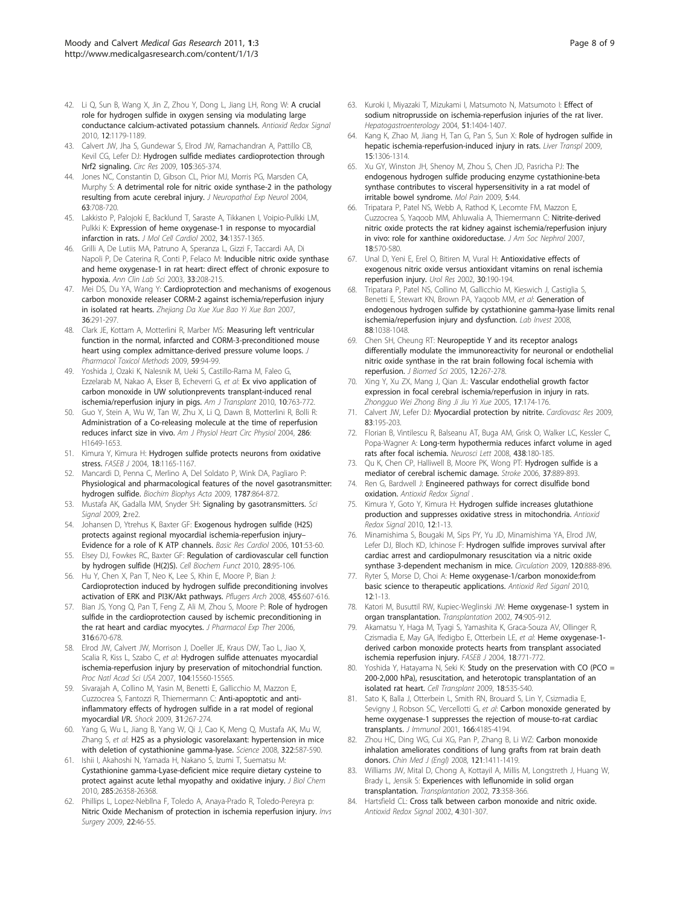- <span id="page-7-0"></span>42. Li O, Sun B, Wang X, Jin Z, Zhou Y, Dong L, Jiang LH, Rong W: [A crucial](http://www.ncbi.nlm.nih.gov/pubmed/19803741?dopt=Abstract) [role for hydrogen sulfide in oxygen sensing via modulating large](http://www.ncbi.nlm.nih.gov/pubmed/19803741?dopt=Abstract) [conductance calcium-activated potassium channels.](http://www.ncbi.nlm.nih.gov/pubmed/19803741?dopt=Abstract) Antioxid Redox Signal 2010, 12:1179-1189.
- 43. Calvert JW, Jha S, Gundewar S, Elrod JW, Ramachandran A, Pattillo CB, Kevil CG, Lefer DJ: [Hydrogen sulfide mediates cardioprotection through](http://www.ncbi.nlm.nih.gov/pubmed/19608979?dopt=Abstract) [Nrf2 signaling.](http://www.ncbi.nlm.nih.gov/pubmed/19608979?dopt=Abstract) Circ Res 2009, 105:365-374.
- 44. Jones NC, Constantin D, Gibson CL, Prior MJ, Morris PG, Marsden CA, Murphy S: [A detrimental role for nitric oxide synthase-2 in the pathology](http://www.ncbi.nlm.nih.gov/pubmed/15290896?dopt=Abstract) [resulting from acute cerebral injury.](http://www.ncbi.nlm.nih.gov/pubmed/15290896?dopt=Abstract) J Neuropathol Exp Neurol 2004, 63:708-720.
- 45. Lakkisto P, Palojoki E, Backlund T, Saraste A, Tikkanen I, Voipio-Pulkki LM, Pulkki K: [Expression of heme oxygenase-1 in response to myocardial](http://www.ncbi.nlm.nih.gov/pubmed/12392996?dopt=Abstract) [infarction in rats.](http://www.ncbi.nlm.nih.gov/pubmed/12392996?dopt=Abstract) J Mol Cell Cardiol 2002, 34:1357-1365.
- 46. Grilli A, De Lutiis MA, Patruno A, Speranza L, Gizzi F, Taccardi AA, Di Napoli P, De Caterina R, Conti P, Felaco M: [Inducible nitric oxide synthase](http://www.ncbi.nlm.nih.gov/pubmed/12817626?dopt=Abstract) [and heme oxygenase-1 in rat heart: direct effect of chronic exposure to](http://www.ncbi.nlm.nih.gov/pubmed/12817626?dopt=Abstract) [hypoxia.](http://www.ncbi.nlm.nih.gov/pubmed/12817626?dopt=Abstract) Ann Clin Lab Sci 2003, 33:208-215.
- 47. Mei DS, Du YA, Wang Y: [Cardioprotection and mechanisms of exogenous](http://www.ncbi.nlm.nih.gov/pubmed/17571314?dopt=Abstract) [carbon monoxide releaser CORM-2 against ischemia/reperfusion injury](http://www.ncbi.nlm.nih.gov/pubmed/17571314?dopt=Abstract) [in isolated rat hearts.](http://www.ncbi.nlm.nih.gov/pubmed/17571314?dopt=Abstract) Zhejiang Da Xue Xue Bao Yi Xue Ban 2007, 36:291-297.
- 48. Clark JE, Kottam A, Motterlini R, Marber MS: [Measuring left ventricular](http://www.ncbi.nlm.nih.gov/pubmed/19059354?dopt=Abstract) [function in the normal, infarcted and CORM-3-preconditioned mouse](http://www.ncbi.nlm.nih.gov/pubmed/19059354?dopt=Abstract) [heart using complex admittance-derived pressure volume loops.](http://www.ncbi.nlm.nih.gov/pubmed/19059354?dopt=Abstract) J Pharmacol Toxicol Methods 2009, 59:94-99.
- 49. Yoshida J, Ozaki K, Nalesnik M, Ueki S, Castillo-Rama M, Faleo G, Ezzelarab M, Nakao A, Ekser B, Echeverri G, et al: [Ex vivo application of](http://www.ncbi.nlm.nih.gov/pubmed/20199500?dopt=Abstract) [carbon monoxide in UW solutionprevents transplant-induced renal](http://www.ncbi.nlm.nih.gov/pubmed/20199500?dopt=Abstract) [ischemia/reperfusion injury in pigs.](http://www.ncbi.nlm.nih.gov/pubmed/20199500?dopt=Abstract) Am J Transplant 2010, 10:763-772.
- 50. Guo Y, Stein A, Wu W, Tan W, Zhu X, Li Q, Dawn B, Motterlini R, Bolli R: [Administration of a Co-releasing molecule at the time of reperfusion](http://www.ncbi.nlm.nih.gov/pubmed/14704226?dopt=Abstract) [reduces infarct size in vivo.](http://www.ncbi.nlm.nih.gov/pubmed/14704226?dopt=Abstract) Am J Physiol Heart Circ Physiol 2004, 286: H1649-1653.
- 51. Kimura Y, Kimura H: [Hydrogen sulfide protects neurons from oxidative](http://www.ncbi.nlm.nih.gov/pubmed/15155563?dopt=Abstract) [stress.](http://www.ncbi.nlm.nih.gov/pubmed/15155563?dopt=Abstract) FASEB 1 2004, 18:1165-1167.
- 52. Mancardi D, Penna C, Merlino A, Del Soldato P, Wink DA, Pagliaro P: [Physiological and pharmacological features of the novel gasotransmitter:](http://www.ncbi.nlm.nih.gov/pubmed/19285949?dopt=Abstract) [hydrogen sulfide.](http://www.ncbi.nlm.nih.gov/pubmed/19285949?dopt=Abstract) Biochim Biophys Acta 2009, 1787:864-872.
- 53. Mustafa AK, Gadalla MM, Snyder SH: [Signaling by gasotransmitters.](http://www.ncbi.nlm.nih.gov/pubmed/19401594?dopt=Abstract) Sci Signal 2009, 2:re2.
- 54. Johansen D, Ytrehus K, Baxter GF: [Exogenous hydrogen sulfide \(H2S\)](http://www.ncbi.nlm.nih.gov/pubmed/16328106?dopt=Abstract) [protects against regional myocardial ischemia-reperfusion injury](http://www.ncbi.nlm.nih.gov/pubmed/16328106?dopt=Abstract)– [Evidence for a role of K ATP channels.](http://www.ncbi.nlm.nih.gov/pubmed/16328106?dopt=Abstract) Basic Res Cardiol 2006, 101:53-60.
- 55. Elsey DJ, Fowkes RC, Baxter GF: [Regulation of cardiovascular cell function](http://www.ncbi.nlm.nih.gov/pubmed/20104507?dopt=Abstract) [by hydrogen sulfide \(H\(2\)S\).](http://www.ncbi.nlm.nih.gov/pubmed/20104507?dopt=Abstract) Cell Biochem Funct 2010, 28:95-106.
- 56. Hu Y, Chen X, Pan T, Neo K, Lee S, Khin E, Moore P, Bian J: [Cardioprotection induced by hydrogen sulfide preconditioning involves](http://www.ncbi.nlm.nih.gov/pubmed/17674030?dopt=Abstract) [activation of ERK and PI3K/Akt pathways.](http://www.ncbi.nlm.nih.gov/pubmed/17674030?dopt=Abstract) Pflugers Arch 2008, 455:607-616.
- 57. Bian JS, Yong Q, Pan T, Feng Z, Ali M, Zhou S, Moore P: [Role of hydrogen](http://www.ncbi.nlm.nih.gov/pubmed/16204473?dopt=Abstract) [sulfide in the cardioprotection caused by ischemic preconditioning in](http://www.ncbi.nlm.nih.gov/pubmed/16204473?dopt=Abstract) [the rat heart and cardiac myocytes.](http://www.ncbi.nlm.nih.gov/pubmed/16204473?dopt=Abstract) J Pharmacol Exp Ther 2006, 316:670-678.
- 58. Elrod JW, Calvert JW, Morrison J, Doeller JE, Kraus DW, Tao L, Jiao X, Scalia R, Kiss L, Szabo C, et al: [Hydrogen sulfide attenuates myocardial](http://www.ncbi.nlm.nih.gov/pubmed/17878306?dopt=Abstract) [ischemia-reperfusion injury by preservation of mitochondrial function.](http://www.ncbi.nlm.nih.gov/pubmed/17878306?dopt=Abstract) Proc Natl Acad Sci USA 2007, 104:15560-15565.
- 59. Sivarajah A, Collino M, Yasin M, Benetti E, Gallicchio M, Mazzon E, Cuzzocrea S, Fantozzi R, Thiemermann C: [Anti-apoptotic and anti](http://www.ncbi.nlm.nih.gov/pubmed/18636044?dopt=Abstract)[inflammatory effects of hydrogen sulfide in a rat model of regional](http://www.ncbi.nlm.nih.gov/pubmed/18636044?dopt=Abstract) [myocardial I/R.](http://www.ncbi.nlm.nih.gov/pubmed/18636044?dopt=Abstract) Shock 2009, 31:267-274.
- 60. Yang G, Wu L, Jiang B, Yang W, Qi J, Cao K, Meng Q, Mustafa AK, Mu W, Zhang S, et al: [H2S as a physiologic vasorelaxant: hypertension in mice](http://www.ncbi.nlm.nih.gov/pubmed/18948540?dopt=Abstract) [with deletion of cystathionine gamma-lyase.](http://www.ncbi.nlm.nih.gov/pubmed/18948540?dopt=Abstract) Science 2008, 322:587-590.
- 61. Ishii I, Akahoshi N, Yamada H, Nakano S, Izumi T, Suematsu M: [Cystathionine gamma-Lyase-deficient mice require dietary cysteine to](http://www.ncbi.nlm.nih.gov/pubmed/20566639?dopt=Abstract) [protect against acute lethal myopathy and oxidative injury.](http://www.ncbi.nlm.nih.gov/pubmed/20566639?dopt=Abstract) J Biol Chem 2010, 285:26358-26368.
- 62. Phillips L, Lopez-Nebllna F, Toledo A, Anaya-Prado R, Toledo-Pereyra p: Nitric Oxide Mechanism of protection in ischemia reperfusion injury. Invs Surgery 2009, 22:46-55.
- 63. Kuroki I, Miyazaki T, Mizukami I, Matsumoto N, Matsumoto I: [Effect of](http://www.ncbi.nlm.nih.gov/pubmed/15362764?dopt=Abstract) [sodium nitroprusside on ischemia-reperfusion injuries of the rat liver.](http://www.ncbi.nlm.nih.gov/pubmed/15362764?dopt=Abstract) Hepatogastroenterology 2004, 51:1404-1407.
- 64. Kang K, Zhao M, Jiang H, Tan G, Pan S, Sun X: [Role of hydrogen sulfide in](http://www.ncbi.nlm.nih.gov/pubmed/19790158?dopt=Abstract) [hepatic ischemia-reperfusion-induced injury in rats.](http://www.ncbi.nlm.nih.gov/pubmed/19790158?dopt=Abstract) Liver Transpl 2009, 15:1306-1314.
- 65. Xu GY, Winston JH, Shenoy M, Zhou S, Chen JD, Pasricha PJ: [The](http://www.ncbi.nlm.nih.gov/pubmed/19660142?dopt=Abstract) [endogenous hydrogen sulfide producing enzyme cystathionine-beta](http://www.ncbi.nlm.nih.gov/pubmed/19660142?dopt=Abstract) [synthase contributes to visceral hypersensitivity in a rat model of](http://www.ncbi.nlm.nih.gov/pubmed/19660142?dopt=Abstract) [irritable bowel syndrome.](http://www.ncbi.nlm.nih.gov/pubmed/19660142?dopt=Abstract) Mol Pain 2009, 5:44.
- 66. Tripatara P, Patel NS, Webb A, Rathod K, Lecomte FM, Mazzon E, Cuzzocrea S, Yaqoob MM, Ahluwalia A, Thiemermann C: [Nitrite-derived](http://www.ncbi.nlm.nih.gov/pubmed/17202421?dopt=Abstract) [nitric oxide protects the rat kidney against ischemia/reperfusion injury](http://www.ncbi.nlm.nih.gov/pubmed/17202421?dopt=Abstract) [in vivo: role for xanthine oxidoreductase.](http://www.ncbi.nlm.nih.gov/pubmed/17202421?dopt=Abstract) J Am Soc Nephrol 2007, 18:570-580.
- 67. Unal D, Yeni E, Erel O, Bitiren M, Vural H: [Antioxidative effects of](http://www.ncbi.nlm.nih.gov/pubmed/12111183?dopt=Abstract) [exogenous nitric oxide versus antioxidant vitamins on renal ischemia](http://www.ncbi.nlm.nih.gov/pubmed/12111183?dopt=Abstract) [reperfusion injury.](http://www.ncbi.nlm.nih.gov/pubmed/12111183?dopt=Abstract) Urol Res 2002, 30:190-194.
- Tripatara P, Patel NS, Collino M, Gallicchio M, Kieswich J, Castiglia S, Benetti E, Stewart KN, Brown PA, Yaqoob MM, et al: [Generation of](http://www.ncbi.nlm.nih.gov/pubmed/18679378?dopt=Abstract) [endogenous hydrogen sulfide by cystathionine gamma-lyase limits renal](http://www.ncbi.nlm.nih.gov/pubmed/18679378?dopt=Abstract) [ischemia/reperfusion injury and dysfunction.](http://www.ncbi.nlm.nih.gov/pubmed/18679378?dopt=Abstract) Lab Invest 2008, 88:1038-1048.
- 69. Chen SH, Cheung RT: [Neuropeptide Y and its receptor analogs](http://www.ncbi.nlm.nih.gov/pubmed/15942706?dopt=Abstract) [differentially modulate the immunoreactivity for neuronal or endothelial](http://www.ncbi.nlm.nih.gov/pubmed/15942706?dopt=Abstract) [nitric oxide synthase in the rat brain following focal ischemia with](http://www.ncbi.nlm.nih.gov/pubmed/15942706?dopt=Abstract) [reperfusion.](http://www.ncbi.nlm.nih.gov/pubmed/15942706?dopt=Abstract) J Biomed Sci 2005, 12:267-278.
- 70. Xing Y, Xu ZX, Mang J, Qian JL: [Vascular endothelial growth factor](http://www.ncbi.nlm.nih.gov/pubmed/15760533?dopt=Abstract) [expression in focal cerebral ischemia/reperfusion in injury in rats.](http://www.ncbi.nlm.nih.gov/pubmed/15760533?dopt=Abstract) Zhongguo Wei Zhong Bing Ji Jiu Yi Xue 2005, 17:174-176.
- 71. Calvert JW, Lefer DJ: [Myocardial protection by nitrite.](http://www.ncbi.nlm.nih.gov/pubmed/19251721?dopt=Abstract) Cardiovasc Res 2009, 83:195-203.
- 72. Florian B, Vintilescu R, Balseanu AT, Buga AM, Grisk O, Walker LC, Kessler C, Popa-Wagner A: [Long-term hypothermia reduces infarct volume in aged](http://www.ncbi.nlm.nih.gov/pubmed/18456407?dopt=Abstract) [rats after focal ischemia.](http://www.ncbi.nlm.nih.gov/pubmed/18456407?dopt=Abstract) Neurosci Lett 2008, 438:180-185.
- 73. Qu K, Chen CP, Halliwell B, Moore PK, Wong PT: [Hydrogen sulfide is a](http://www.ncbi.nlm.nih.gov/pubmed/16439695?dopt=Abstract) [mediator of cerebral ischemic damage.](http://www.ncbi.nlm.nih.gov/pubmed/16439695?dopt=Abstract) Stroke 2006, 37:889-893.
- 74. Ren G, Bardwell J: Engineered pathways for correct disulfide bond oxidation. Antioxid Redox Signal
- 75. Kimura Y, Goto Y, Kimura H: [Hydrogen sulfide increases glutathione](http://www.ncbi.nlm.nih.gov/pubmed/19852698?dopt=Abstract) [production and suppresses oxidative stress in mitochondria.](http://www.ncbi.nlm.nih.gov/pubmed/19852698?dopt=Abstract) Antioxid Redox Sianal 2010, 12:1-13
- 76. Minamishima S, Bougaki M, Sips PY, Yu JD, Minamishima YA, Elrod JW, Lefer DJ, Bloch KD, Ichinose F: [Hydrogen sulfide improves survival after](http://www.ncbi.nlm.nih.gov/pubmed/19704099?dopt=Abstract) [cardiac arrest and cardiopulmonary resuscitation via a nitric oxide](http://www.ncbi.nlm.nih.gov/pubmed/19704099?dopt=Abstract) [synthase 3-dependent mechanism in mice.](http://www.ncbi.nlm.nih.gov/pubmed/19704099?dopt=Abstract) Circulation 2009, 120:888-896.
- 77. Ryter S, Morse D, Choi A: Heme oxygenase-1/carbon monoxide:from basic science to therapeutic applications. Antioxid Red Siganl 2010, 12:1-13.
- 78. Katori M, Busuttil RW, Kupiec-Weglinski JW: [Heme oxygenase-1 system in](http://www.ncbi.nlm.nih.gov/pubmed/12394829?dopt=Abstract) [organ transplantation.](http://www.ncbi.nlm.nih.gov/pubmed/12394829?dopt=Abstract) Transplantation 2002, 74:905-912.
- 79. Akamatsu Y, Haga M, Tyagi S, Yamashita K, Graca-Souza AV, Ollinger R, Czismadia E, May GA, Ifedigbo E, Otterbein LE, et al: [Heme oxygenase-1](http://www.ncbi.nlm.nih.gov/pubmed/14977880?dopt=Abstract) [derived carbon monoxide protects hearts from transplant associated](http://www.ncbi.nlm.nih.gov/pubmed/14977880?dopt=Abstract) [ischemia reperfusion injury.](http://www.ncbi.nlm.nih.gov/pubmed/14977880?dopt=Abstract) FASEB J 2004, 18:771-772.
- 80. Yoshida Y, Hatayama N, Seki K: [Study on the preservation with CO \(PCO =](http://www.ncbi.nlm.nih.gov/pubmed/19775514?dopt=Abstract) [200-2,000 hPa\), resuscitation, and heterotopic transplantation of an](http://www.ncbi.nlm.nih.gov/pubmed/19775514?dopt=Abstract) [isolated rat heart.](http://www.ncbi.nlm.nih.gov/pubmed/19775514?dopt=Abstract) Cell Transplant 2009, 18:535-540.
- 81. Sato K, Balla J, Otterbein L, Smith RN, Brouard S, Lin Y, Csizmadia E, Sevigny J, Robson SC, Vercellotti G, et al: [Carbon monoxide generated by](http://www.ncbi.nlm.nih.gov/pubmed/11238670?dopt=Abstract) heme [oxygenase-1 suppresses the rejection of mouse-to-rat cardiac](http://www.ncbi.nlm.nih.gov/pubmed/11238670?dopt=Abstract) [transplants.](http://www.ncbi.nlm.nih.gov/pubmed/11238670?dopt=Abstract) J Immunol 2001, 166:4185-4194.
- 82. Zhou HC, Ding WG, Cui XG, Pan P, Zhang B, Li WZ: Carbon monoxide inhalation ameliorates conditions of lung grafts from rat brain death donors. Chin Med J (Engl) 2008, 121:1411-1419.
- 83. Williams JW, Mital D, Chong A, Kottayil A, Millis M, Longstreth J, Huang W, Brady L, Jensik S: [Experiences with leflunomide in solid organ](http://www.ncbi.nlm.nih.gov/pubmed/11884931?dopt=Abstract) [transplantation.](http://www.ncbi.nlm.nih.gov/pubmed/11884931?dopt=Abstract) Transplantation 2002, 73:358-366.
- 84. Hartsfield CL: [Cross talk between carbon monoxide and nitric oxide.](http://www.ncbi.nlm.nih.gov/pubmed/12006181?dopt=Abstract) Antioxid Redox Signal 2002, 4:301-307.